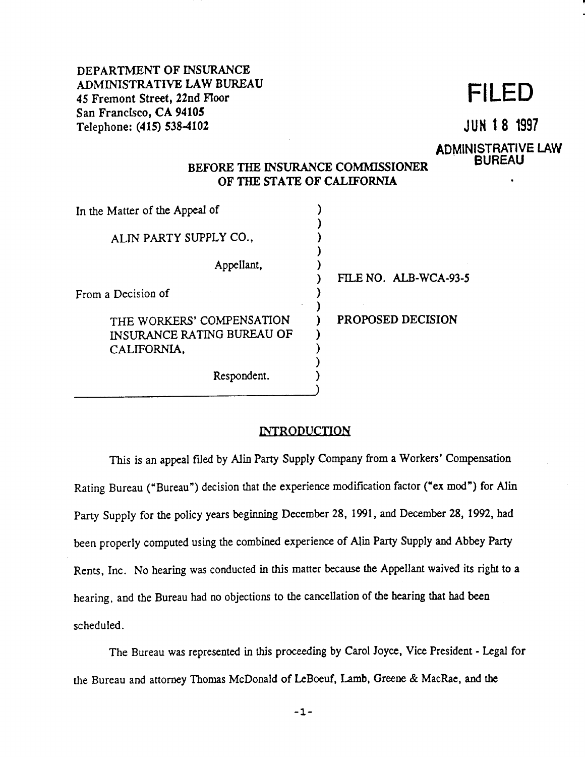•

•

# BEFORE THE INSURANCE COMMISSIONER OF THE STATE OF CALIFORNIA

DEPARTMENT OF INSURANCE ADMINISTRATIVE LAW BUREAU ADIVILIVE LAW BURGAU<br>45 Fremont Street, 22nd Floor **FILED** San Francisco, CA 94105 Telephone: (415) S38-4102 JUN **1 8** <sup>1997</sup>

# ADMINISTRATIVE LAW<br>BUREAU

)

)

In the Matter of the Appeal of

ALIN PARTY SUPPLY CO.,

Appellant,



# **INTRODUCTION**

This is an appeal filed by Alin Party Supply Company from a Workers' Compensation

Rating Bureau ("Bureau") decision that the experience modification factor **("ex** mod") for Alin

Party Supply for the policy years beginning December 28, 1991, and December 28, 1992, had

been properly computed using the combined experience of Alin Party Supply and Abbey Party

Rents, Inc. No hearing was conducted in this matter because the Appellant waived its right to a

hearing. and the Bureau had no objections to the cancellation of the hearing that had been

scheduled.

The Bureau was represented in *this* proceeding by Carol Joyce, Vice President - Legal for

the Bureau and attorney Thomas McDonald of LeBoeuf, Lamb, Greene & MacRae, and the

-1-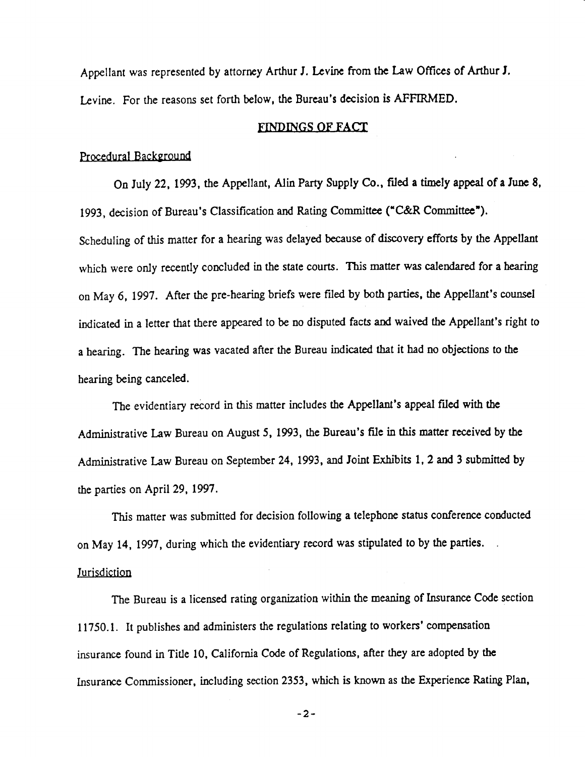Appellant was represented by attorney Arthur J. Levine from the Law Offices of Arthur *1.* 

Levine. For the reasons set forth below, the Bureau's decision is AFFIRMED.

### FINDINGS OF FACT

Procedural Background

On July 22, 1993, the Appellant, Alin Party Supply Co., filed a timely appeal of a June 8,

1993, decision of Bureau's Classification and Rating Committee ("C&R Committee").

Scheduling of this matter for a hearing was delayed because of discovery efforts by the Appellant

which were only recently concluded in the state courts. This matter was calendared for a hearing

The evidentiary record in this matter includes the Appellant's appeal filed with the Administrative Law Bureau on August 5, 1993, the Bureau's file in this matter received by the

on May 6, 1997. After the pre-hearing briefs were filed by both parties, the Appellant's counsel

indicated in a letter that there appeared to be no disputed facts and waived the Appellant's right to

a hearing. The hearing was vacated after the Bureau indicated that it had no objections to the bearing being canceled.

Administrative Law Bureau on September 24, 1993, and Joint Exhibits 1, 2 and 3 submitted by

the parties on April 29, 1997.

This matter was submitted for decision following a telephone status conference conducted

on May 14, 1997, during which the evidentiary record was stipulated to by the parties.

#### **Jurisdiction**

The Bureau is a licensed rating organization within the meaning of Insurance Code section

11750.1. It publishes and administers the regulations relating to workers' compensation

insurance found in Title 10, California Code of Regulations, after they are adopted by the

Insurance Commissioner, including section 2353, which is known as the Experience Rating Plan,

-2-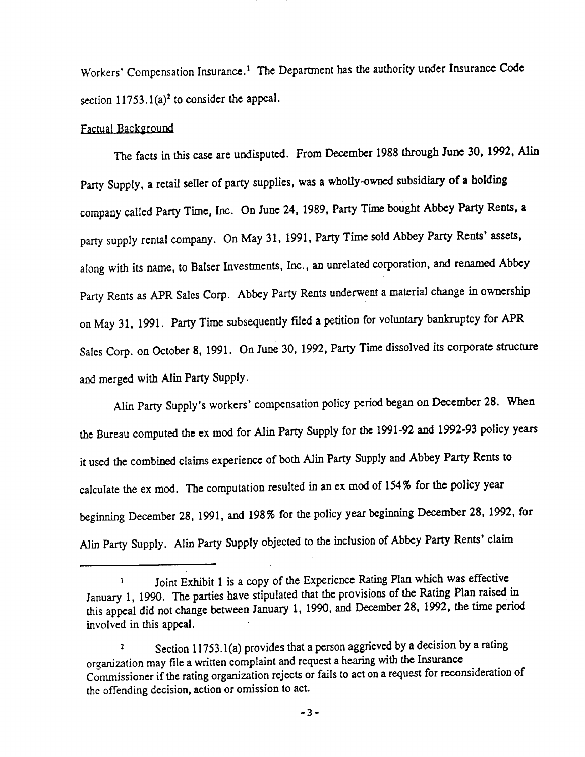Workers' Compensation Insurance.<sup>1</sup> The Department has the authority under Insurance Code

section  $11753.1(a)^2$  to consider the appeal.

Party Rents as APR Sales Corp. Abbey Party Rents underwent a material change in ownership on May 31, 1991. Party Time subsequently ftled a petition for voluntary bankruptcy for APR Sales Corp. on October 8, 1991. On June 30, 1992, Party Time dissolved its corporate structure and merged with Alin Party Supply.

Section 11753.1(a) provides that a person aggrieved by a decision by a rating organization may file a written complaint and request a hearing with the Insurance Commissioner if the rating organization rejects or fails to act on a request for reconsideration of the offending decision, action or omission to act.

Alin Party Supply's workers' compensation policy period began on December 28. When the Bureau computed the ex mod for Alin Party Supply for the 1991-92 and 1992-93 policy years it used the combined claims experience of both Alin Party Supply and Abbey Party Rents to calculate the ex mod. The computation resulted in an ex mod of 154% for the policy year beginning December 28, 1991, and 198% for the policy year beginning December 28, 1992, for Alin Party Supply. Alin Party Supply objected to the inclusion of Abbey Party Rents' claim

 $1$  Joint Exhibit 1 is a copy of the Experience Rating Plan which was effective January 1, 1990. The parties have stipulated that the provisions of the Rating Plan raised in this appeal did not change between January 1, 1990, and December 28, 1992, the time period involved in this appeal.

•

## Factual Background

The facts in this case are undisputed. From December 1988 through June 30, 1992, Alin Party Supply, a retail seller of party supplies, was a wholly-owned subsidiary of a holding company called Party Time, Inc. On June 24, 1989, Party Time bought Abbey Party Rents, **a**  party supply rental company. On May 31, 1991, Party Time sold Abbey Party Rents' assets, along with its name, to Balser Investments, Inc., an unrelated corporation, and renamed Abbey

-3-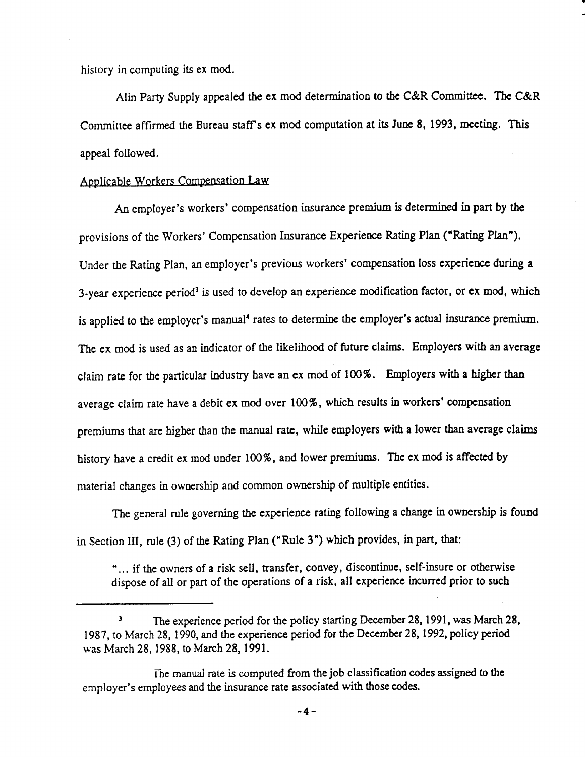history in computing its ex mod.

..

Alin Party Supply appealed the ex mod determination to the C&R Committee. The C&R Committee affirmed the Bureau staff's ex mod computation at its June 8, 1993, meeting. This appeal followed.

Applicable Workers Compensation J.aw

An employer's workers' compensation insurance premium is determined in part by the

provisions of the Workers' Compensation Insurance Experience Rating Plan ("Rating Plan").

Under the Rating Plan, an employer's previous workers' compensation loss experience during **a** 

3-year experience period<sup>3</sup> is used to develop an experience modification factor, or ex mod, which is applied to the employer's manual<sup>4</sup> rates to determine the employer's actual insurance premium. The ex mod is used as an indicator of the likelihood of future claims. Employers with an average claim rate for the particular industry have an ex mod of 100%. Employers with a higher than average claim rate have a debit ex mod over 100%, which results in workers' compensation premiums that are higher than the manual rate, while employers with a lower than average claims history have a credit ex mod under  $100\%$ , and lower premiums. The ex mod is affected by material changes in ownership and common ownership of multiple entities. The general rule governing the experience rating following a change in ownership is found

in Section III, rule (3) of the Rating Plan ("Rule 3") which provides, in part, that:

The manual rate is computed from the job classification codes assigned to the employer's employees and the insurance rate associated with those codes.

" ... if the owners of a risk sell, transfer, convey, discontinue, self-insure or otherwise dispose of all or part of the operations of a risk, all experience incurred prior to such

<sup>3</sup> The experience period for the policy starting December 28, 1991, was March 28, 1987, to March 28, 1990, and the experience period for the December 28, 1992, policy period was March 28, 1988, to March 28, 1991.

**-4-**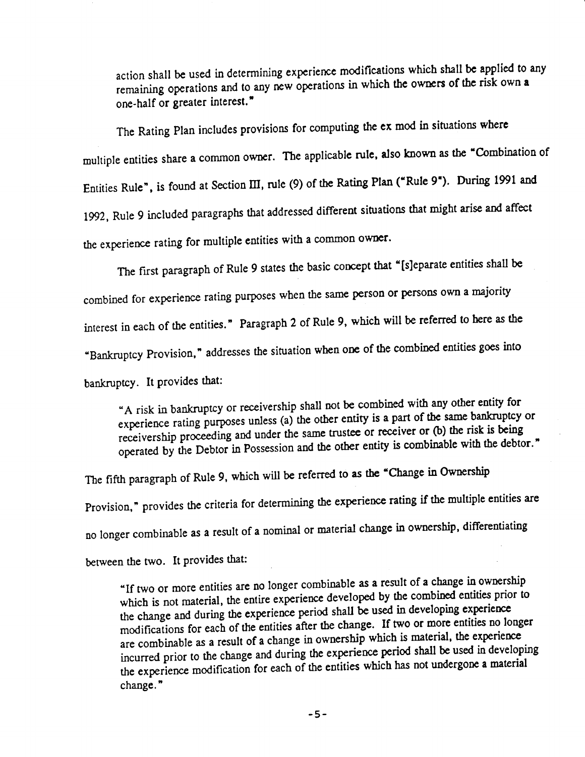action shall be used in determining experience modifications which shall be applied to any remaining operations and to any new operations in whlch the owners of the risk own **a**  one-half or greater interest."

The Rating Plan includes provisions for computing the ex mod in situations where

multiple entities share a common owner. The applicable rule. also known as the "Combination of

Entities Rule", is found at Section III, rule (9) of the Rating Plan ("Rule 9"). During 1991 and

1992, Rule 9 included paragraphs that addressed different situations that might arise and affect

the experience rating for multiple entities with a common owner.

The first paragraph of Rule 9 states the basic concept that "[s]eparate entities shall be

combined for experience rating purposes when the same person or persons own a majority

interest in each of the entities." Paragraph 2 of Rule 9, which will be referred to here as the

"Bankruptcy Provision," addresses the situation when one of the combined entities goes into

bankruptcy. It provides that:

"A risk in bankruptcy or receivership shall not be combined with any other entity for experience rating purposes unless (a) the other entity **is a** part of the same bankruptcy or receivership proceeding and under the same trustee or receiver or (b) the risk is being operated by the Debtor in Possession and the other entity is combinable with the debtor."

The fifth paragraph of Rule 9, which will be referred to **as the** "Change in Ownership

Provision," provides the criteria for determining the experience rating if the multiple entities are

no longer combinable as a result of a nominal or material change in ownership, differentiating

# between the two. It provides that:

"If two or more entities are no longer combinable as a result of a change in ownership which is not material, the entire experience developed by the combined entities prior to the change and during the experience period shall be used in developing experience modifications for each of the entities after the change. If two or more entities no longer are combinable as a result of a change in ownership which is material, the experience incurred prior to the change and during the experience period shall be used in developing the experience modification for each of the entities which has not undergone a material change."

-5-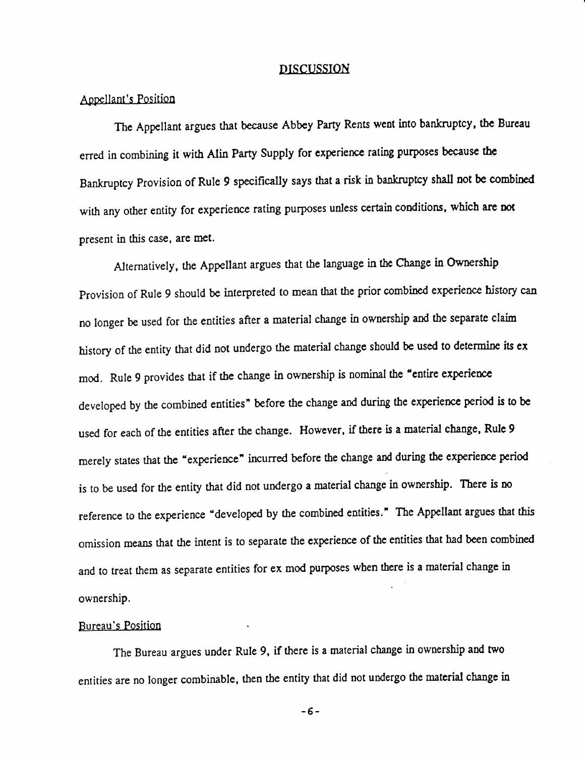# DISCUSSION

•

Appellant's Position

The Appellant argues that because Abbey Party Rents went into bankruptcy, the Bureau

erred in combining it with Alin Party Supply for experience rating purposes because the

Bankruptcy Provision of Rule 9 specifically says that a risk in bankruptcy shall not be combined

with any other entity for experience rating purposes unless certain conditions, which **are not** 

present in this case, are met.

Alternatively, the Appellant argues that the language in the Change in Ownership

Provision of Rule 9 should be interpreted to mean that the prior combined experience history can no longer be used for the entities after a material change in ownership and the separate claim history of the entity that did not undergo the material change should be used to determine its ex mod. Rule 9 provides that if the change in ownership is nominal the "entire experience developed by the combined entities" before the change and during the experience period is to be used for each of the entities after the change. However, if there is a material change, Rule 9 merely states that the "experience" incurred before the change and during the experience period is to be used for the entity that did not undergo a material change in ownership. There is no reference to the experience "developed by the combined entities." The Appellant argues that this omission means that the intent is to separate the experience of the entities that had been combined

and to treat them as separate entities for ex mod purposes when there is a material change in

•

ownership.

#### Bureau's Position

The Bureau argues under Rule 9, if there is a material change in ownership and two

entities are no longer combinable, then the entity that did not undergo the material change in

-6-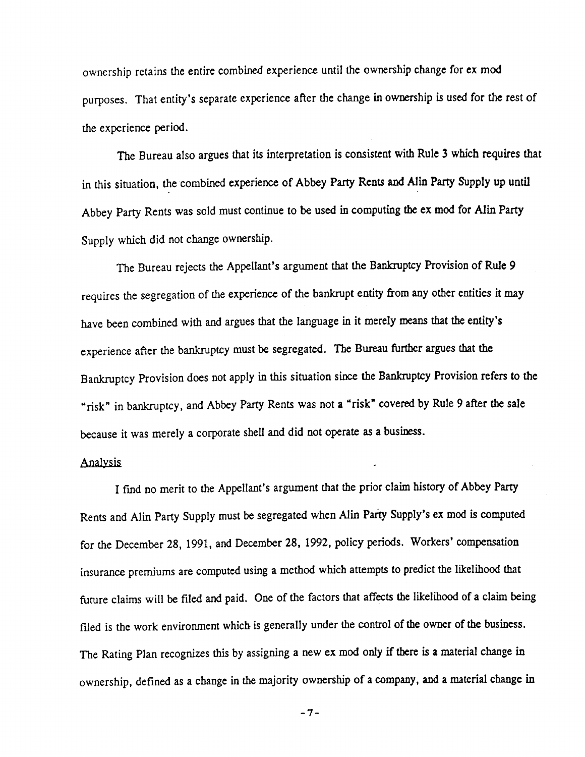ownership retains the entire combined experience until the ownership change for ex mod

purposes. That entity's separate experience after the change in ownership is used for the rest of the experience period.

. The Bureau also argues that its interpretation is consistent with Rule 3 which requires that

in this situation, the combined experience of Abbey Party Rents and Alin Party Supply up until

Abbey Party Rents was sold must continue to be used in computing the ex mod for Alin Party

Supply which did not change ownership.

The Bureau rejects the Appellant's argument that the Bankruptcy Provision of Rule 9

requires the segregation of the experience of the bankrupt entity from any other entities it may

have been combined with and argues that the language in it merely means that the entity's

experience after the bankruptcy must be segregated. The Bureau further argues that the

Bankruptcy Provision does not apply in this situation since the Bankruptcy Provision refers to the

"risk" in bankruptcy, and Abbey Party Rents was not a "risk" covered by Rule 9 after the sale

because it was merely a corporate shell and did not operate as a busiress.

#### Analysis •

I fmd no merit to the Appellant's argument that the prior claim history of Abbey Party

• Rents and Alin Party Supply must be segregated when Alin Party Supply's ex mod is computed

for the December 28, 1991, and December 28, 1992, policy periods. Workers' compensation

insurance premiums are computed using a method which attempts to predict the likelihood that

future claims will be filed and paid. One of the factors that affects the likelihood of a claim being

filed is the work environment which is generally under the control of the owner of the business.

The Rating Plan recognizes this by assigning a new ex mod only if there is a material change in

ownership, defined as a change in the majority ownership of a company, and a material change in

-7-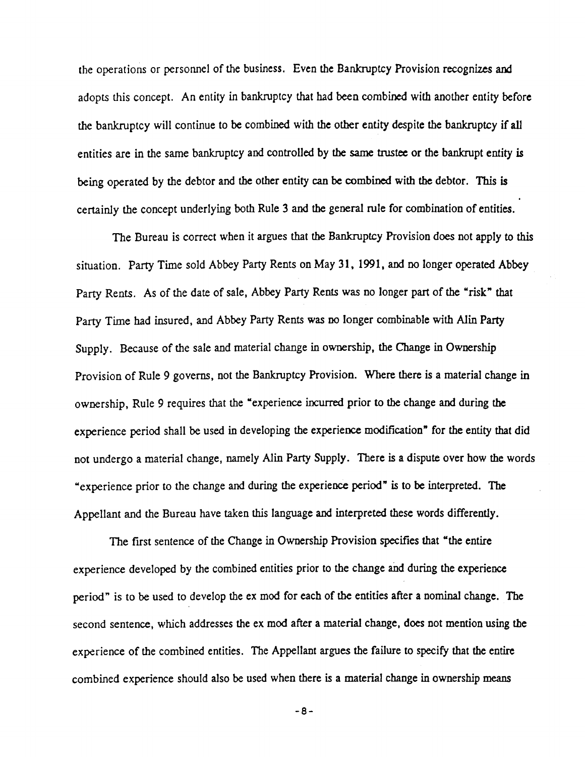the operations or personnel of the business. Even the Bankruptcy Provision recognizes and adopts this concept. An entity in bankruptcy that had been combined with another entity before the bankruptcy will continue to be combined with the other entity despite the bankruptcy if all entities are in the same bankruptcy and controlled by the same trustee or the bankrupt entity *is*  being operated by the debtor and the other entity can be combined with the debtor. This is • certainly the concept underlying both Rule 3 and the general rule for combination of entities.

The Bureau is correct when it argues that the Bankruptcy Provision does not apply to *this* 

situation. Party Time sold Abbey Party Rents on May 31, 1991, and no longer operated Abbey

Party Rents. As of the date of sale, Abbey Party Rents was no longer part of the "risk" that

Party Time had insured, and Abbey Party Rents was no longer combinable with Alin Party

Supply. Because of the sale and material change in ownership, the Change in Ownership

Provision of Rule 9 governs, not the Bankruptcy Provision. Where there is a material change in

ownership, Rule 9 requires that the "experience incurred prior to the change and during the

experience period shall be used in developing the experience modification" for the entity that did

not undergo a material change, namely Alin Party Supply. There is a dispute over how the words

"experience prior to the change and during the experience period" is to be interpreted. The

Appellant and the Bureau have taken this language and interpreted these words differently.

The first sentence of the Change in Ownership Provision specifies that "the entire

experience developed by the combined entities prior to the change and during the experience

period" is to be used to develop the ex mod for each of the entities after a nominal change. The

second sentence, which addresses the ex mod after a material change, does not mention using the

experience of the combined entities. The Appellant argues the failure to specify that the entire

combined experience should also be used when there is a material change in ownership means

-8-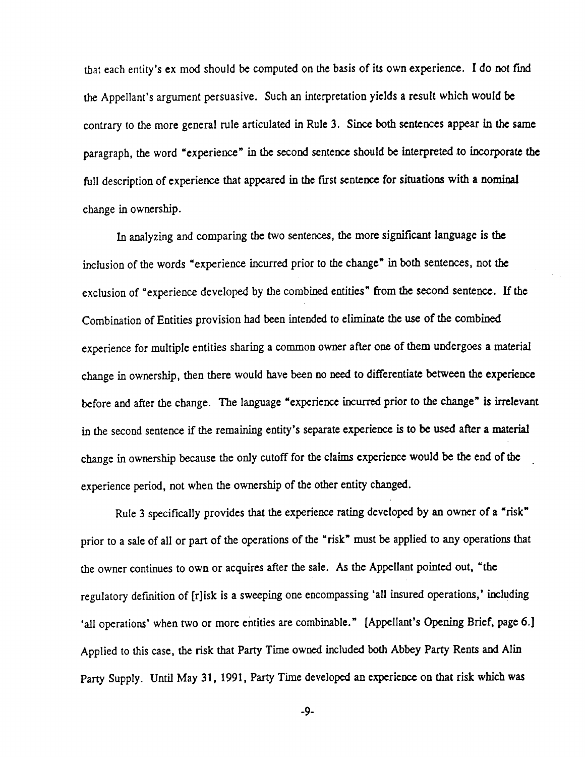that each entity's ex mod should be computed on the basis of its own experience. I do not find

the Appellant's argument persuasive. Such an interpretation yields a result which would be

contrary to the more general rule articulated in Rule 3. Since both sentences appear in the same

paragraph, the word "experience" in the second sentence should be interpreted to incorporate the

full description of experience that appeared in the first sentence for situations with a nominal

change in ownership, then there would have been no need to differentiate between the experience before and after the change. The language "experience incurred prior to the change" is irrelevant

change in ownership.

In analyzing and comparing the two sentences, the more significant language **is the** 

inclusion of the words "experience incurred prior to the change" in both sentences, not the

exclusion of "experience developed by the combined entities" from the second sentence. If the

Combination of Entities provision had been intended to eliminate the use of the combined

experience for multiple entities sharing a common owner after one of them undergoes a material

in the second sentence if the remaining entity's separate experience *is* to be used after a material

change in ownership because the only cutoff for the claims experience would be the end of the

•

experience period, not when the ownership of the other entity changed.

Rule 3 specifically provides that the experience rating developed by an owner of a "risk"

prior to a sale of all or part of the operations of the "risk" must be applied to any operations that

the owner continues to own or acquires after the sale. As the Appellant pointed out, "the

regulatory defmition of [r]isk is a sweeping one encompassing 'all insured operations,' including

'all operations' when two or more entities are combinable." [Appellant's Opening Brief, page 6.]

Applied to this case, the risk that Party Time owned included both Abbey Party Rents and Alin

Party Supply. Until May 31, 1991, Party Time developed an experience on that risk which was

-9-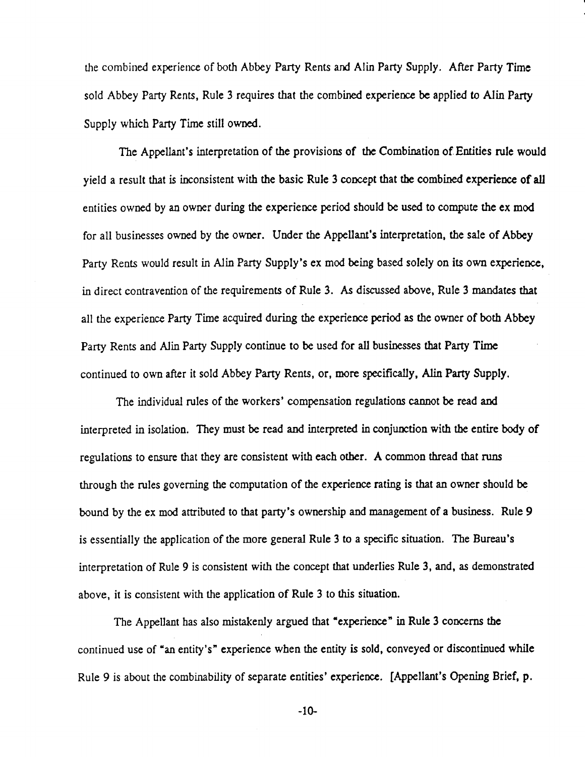the combined experience of both Abbey Party Rents and Alin Party Supply. After Party Time

I

•

sold Abbey Party Rents, Rule 3 requires that the combined experience be applied to Alin Party Supply which Party Time still owned.

The Appellant's interpretation of the provisions of the Combination of.Entities rule would yield a result that is inconsistent with the basic Rule 3 concept that the combined experience of all entities owned by an owner during the experience period should be used to compute the ex mod for all businesses owned by the owner. Under the Appellant's interpretation, the sale of Abbey

Party Rents would result in Alin Party Supply's ex mod being based solely on its own experience,

in direct contravention of the requirements of Rule 3. As discussed above, Rule 3 mandates that

all the experience Party Time acquired during the experience period as the owner of both Abbey

Party Rents and Alin Party Supply continue to be used for all businesses that Party Time

continued to own after it sold Abbey Party Rents, or, more specifically, Alin Party Supply.

The individual rules of the workers' compensation regulations cannot be read and

interpreted in isolation. They must be read and interpreted in conjunction with the entire body of

regulations to ensure that they are consistent with each other. A common thread that runs

through the rules governing the computation of the experience rating is that an owner should be

bound by the ex mod attributed to that party's ownership and management of a business. Rule 9

is essentially the application of the more general Rule 3 to a specific situation. The Bureau's

interpretation of Rule 9 is consistent with the concept that underlies Rule 3, and, as demonstrated

above, it is consistent with the application of Rule 3 to this situation.

The Appellant has also mistakenly argued that "experience" in Rule 3 concerns the

continued use of "an entity's" experience when the entity is sold, conveyed or discontinued while

Rule 9 is about the combinability of separate entities' experience. [Appellant's Opening Brief, p.

-10-